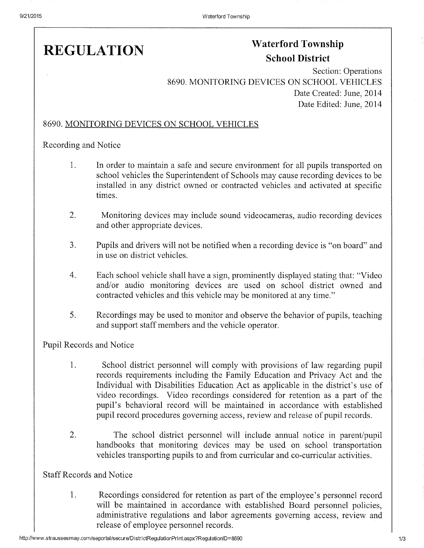# REGULATION Waterford Township School District

Section: Operations 8690. MONITORING DEVICES ON SCHOOL VEHICLES Date Created: June, 2014 Date Edited: June, 2014

#### 8690. MONITORING DEVICES ON SCHOOL VEHICLES

Recording and Notice

- 1. In order to maintain a safe and secure environment for all pupils transported on school vehicles the Superintendent of Schools may cause recording devices to be installed in any district owned or contracted vehicles and activated at specific times.
- 2. Monitoring devices may include sound videocameras, audio recording devices and other appropriate devices.
- 3. Pupils and drivers will not be notified when a recording device is "on board" and in use on district vehicles.
- 4. Each school vehicle shall have a sign, prominently displayed stating that: "Video and/or audio monitoring devices are used on school district owned and contracted vehicles and this vehicle may be monitored at any time."
- 5. Recordings may be used to monitor and observe the behavior of pupils, teaching and support staff members and the vehicle operator.

Pupil Records and Notice

- 1. School district personnel will comply with provisions of law regarding pupil records requirements including the Family Education and Privacy Act and the Individual with Disabilities Education Act as applicable in the district's use of video recordings. Video recordings considered for retention as a part of the pupil's behavioral record will be maintained in accordance with established pupil record procedures governing access, review and release of pupil records.
- 2. The school district personnel will include annual notice in parent/pupil handbooks that monitoring devices may be used on school transportation vehicles transporting pupils to and from curricular and co-curricular activities.

## Staff Records and Notice

1. Recordings considered for retention as part of the employee's personnel record will be maintained in accordance with established Board personnel policies, administrative regulations and labor agreements governing access, review and release of employee personnel records.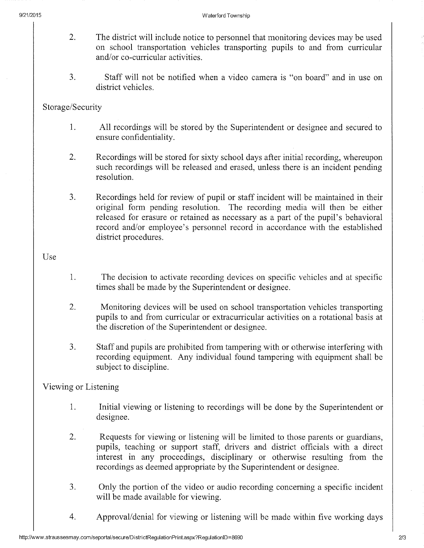- 2. The district will include notice to personnel that monitoring devices may be used on school transportation vehicles transporting pupils to and from curricular and/or co-curricular activities.
- 3. Staff will not be notified when a video camera is "on board" and in use on district vehicles.

#### Storage/Security

- 1. All recordings will be stored by the Superintendent or designee and secured to ensure confidentiality.
- 2. Recordings will be stored for sixty school days after initial recording, whereupon such recordings will be released and erased, unless there is an incident pending resolution.
- 3. Recordings held for review of pupil or staff incident will be maintained in their original form pending resolution. The recording media will then be either released for erasure or retained as necessary as a part of the pupil's behavioral record and/or employee's personnel record in accordance with the established district procedures.

#### Use

- 1. The decision to activate recording devices on specific vehicles and at specific times shall be made by the Superintendent or designee.
- 2. Monitoring devices will be used on school transportation vehicles transporting pupils to and from curricular or extracurricular activities on a rotational basis at the discretion of the Superintendent or designee.
- 3. Staff and pupils are prohibited from tampering with or otherwise interfering with recording equipment. Any individual found tampering with equipment shall be subject to discipline.

## Viewing or Listening

- 1. Initial viewing or listening to recordings will be done by the Superintendent or designee.
- 2. Requests for viewing or listening will be limited to those parents or guardians, pupils, teaching or support staff, drivers and district officials with a direct interest in any proceedings, disciplinary or otherwise resulting from the recordings as deemed appropriate by the Superintendent or designee.
- 3. Only the portion of the video or audio recording concerning a specific incident will be made available for viewing.
- 4. Approval/denial for viewing or listening will be made within five working days